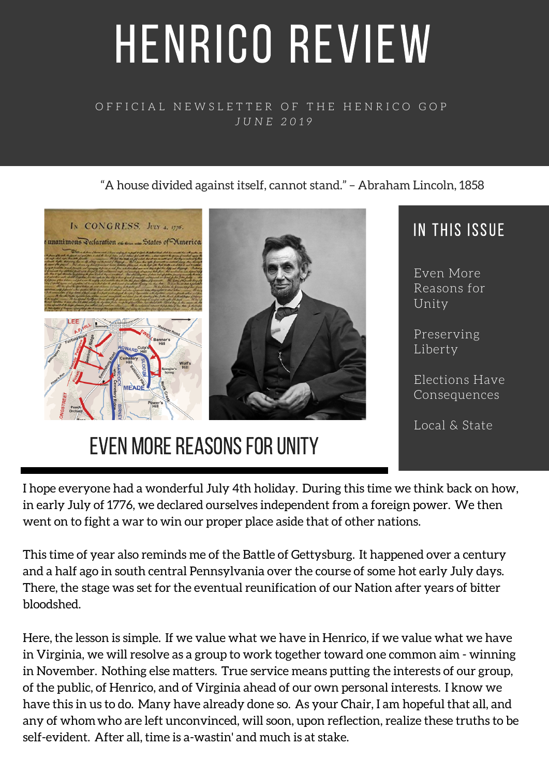# HENRICO REVIEW

#### OFFICIAL NEWSLETTER OF THE HENRICO GOP *J U N E 2 0 1 9*

#### "A house divided against itself, cannot stand." – Abraham Lincoln, 1858



## EVEN MORE REASONS FOR UNITY

### IN THIS ISSUE

Reasons for

Elections Have Consequences

Local & State

I hope everyone had a wonderful July 4th holiday. During this time we think back on how, in early July of 1776, we declared ourselves independent from a foreign power. We then went on to fight a war to win our proper place aside that of other nations.

This time of year also reminds me of the Battle of Gettysburg. It happened over a century and a half ago in south central Pennsylvania over the course of some hot early July days. There, the stage was set for the eventual reunification of our Nation after years of bitter bloodshed.

Here, the lesson is simple. If we value what we have in Henrico, if we value what we have in Virginia, we will resolve as a group to work together toward one common aim - winning in November. Nothing else matters. True service means putting the interests of our group, of the public, of Henrico, and of Virginia ahead of our own personal interests. I know we have this in us to do. Many have already done so. As your Chair, I am hopeful that all, and any of whomwho are left unconvinced, will soon, upon reflection, realize these truths to be self-evident. After all, time is a-wastin' and much is at stake.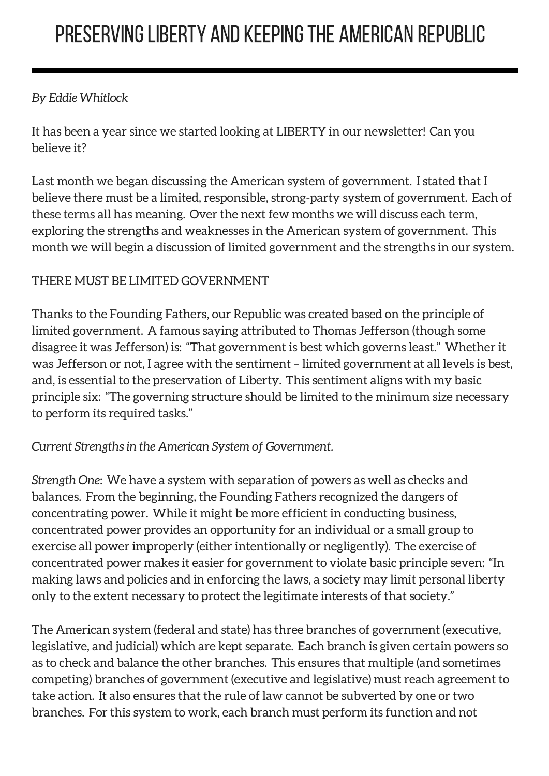#### *By Eddie Whitlock*

It has been a year since we started looking at LIBERTY in our newsletter! Can you believe it?

Last month we began discussing the American system of government. I stated that I believe there must be a limited, responsible, strong-party system of government. Each of these terms all has meaning. Over the next few months we will discuss each term, exploring the strengths and weaknesses in the American system of government. This month we will begin a discussion of limited government and the strengths in our system.

#### THERE MUST BE LIMITED GOVERNMENT

Thanks to the Founding Fathers, our Republic was created based on the principle of limited government. A famous saying attributed to Thomas Jefferson (though some disagree it was Jefferson) is: "That government is best which governs least." Whether it was Jefferson or not, I agree with the sentiment – limited government at all levels is best, and, is essential to the preservation of Liberty. This sentiment aligns with my basic principle six: "The governing structure should be limited to the minimum size necessary to perform its required tasks."

#### *Current Strengths in the American System of Government.*

*Strength One*: We have a system with separation of powers as well as checks and balances. From the beginning, the Founding Fathers recognized the dangers of concentrating power. While it might be more efficient in conducting business, concentrated power provides an opportunity for an individual or a small group to exercise all power improperly (either intentionally or negligently). The exercise of concentrated power makes it easier for government to violate basic principle seven: "In making laws and policies and in enforcing the laws, a society may limit personal liberty only to the extent necessary to protect the legitimate interests of that society."

The American system (federal and state) has three branches of government (executive, legislative, and judicial) which are kept separate. Each branch is given certain powers so as to check and balance the other branches. This ensures that multiple (and sometimes competing) branches of government (executive and legislative) must reach agreement to take action. It also ensures that the rule of law cannot be subverted by one or two branches. For this system to work, each branch must perform its function and not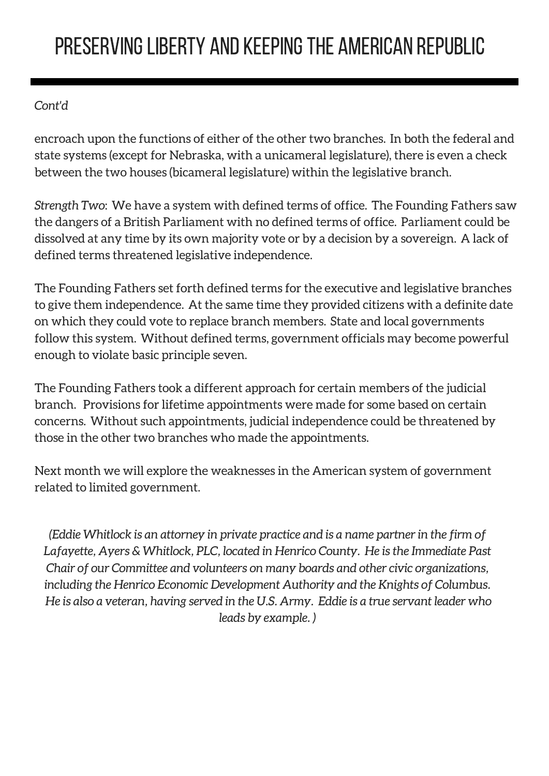## PRESERVING LIBERTY AND KEEPING THE AMERICAN REPUBLIC

#### *Cont'd*

encroach upon the functions of either of the other two branches. In both the federal and state systems (except for Nebraska, with a unicameral legislature), there is even a check between the two houses (bicameral legislature) within the legislative branch.

*Strength Two*: We have a system with defined terms of office. The Founding Fathers saw the dangers of a British Parliament with no defined terms of office. Parliament could be dissolved at any time by its own majority vote or by a decision by a sovereign. A lack of defined terms threatened legislative independence.

The Founding Fathers set forth defined terms for the executive and legislative branches to give them independence. At the same time they provided citizens with a definite date on which they could vote to replace branch members. State and local governments follow this system. Without defined terms, government officials may become powerful enough to violate basic principle seven.

The Founding Fathers took a different approach for certain members of the judicial branch. Provisions for lifetime appointments were made for some based on certain concerns. Without such appointments, judicial independence could be threatened by those in the other two branches who made the appointments.

Next month we will explore the weaknesses in the American system of government related to limited government.

*(Eddie Whitlock is an attorney in private practice and is a name partner in the firm of Lafayette, Ayers & Whitlock, PLC, located in Henrico County. He is the Immediate Past Chair of our Committee and volunteers on many boards and other civic organizations, including the Henrico Economic Development Authority and the Knights of Columbus. He is also a veteran, having served in the U.S. Army. Eddie is a true servant leader who leads by example. )*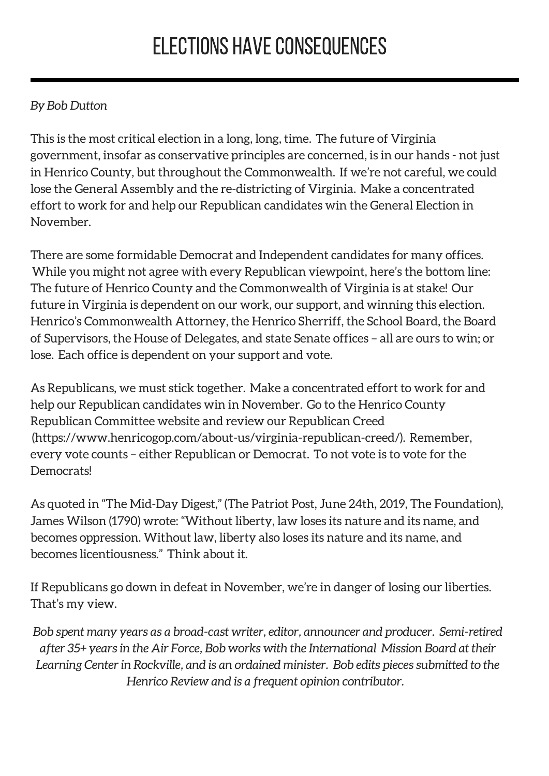## **ELECTIONS HAVE CONSEQUENCES**

#### *By Bob Dutton*

This is the most critical election in a long, long, time. The future of Virginia government, insofar as conservative principles are concerned, is in our hands - not just in Henrico County, but throughout the Commonwealth. If we're not careful, we could lose the General Assembly and the re-districting of Virginia. Make a concentrated effort to work for and help our Republican candidates win the General Election in November.

There are some formidable Democrat and Independent candidates for many offices. While you might not agree with every Republican viewpoint, here's the bottom line: The future of Henrico County and the Commonwealth of Virginia is at stake! Our future in Virginia is dependent on our work, our support, and winning this election. Henrico's Commonwealth Attorney, the Henrico Sherriff, the School Board, the Board of Supervisors, the House of Delegates, and state Senate offices – all are ours to win; or lose. Each office is dependent on your support and vote.

As Republicans, we must stick together. Make a concentrated effort to work for and help our Republican candidates win in November. Go to the Henrico County Republican Committee website and review our Republican Creed (https://www.henricogop.com/about-us/virginia-republican-creed/). Remember, every vote counts – either Republican or Democrat. To not vote is to vote for the **Democrats!** 

As quoted in "The Mid-Day Digest," (The Patriot Post, June 24th, 2019, The Foundation), James Wilson (1790) wrote: "Without liberty, law loses its nature and its name, and becomes oppression. Without law, liberty also loses its nature and its name, and becomes licentiousness." Think about it.

If Republicans go down in defeat in November, we're in danger of losing our liberties. That's my view.

*Bob spent many years as a broad-cast writer, editor, announcer and producer. Semi-retired after 35+ years in the Air Force, Bob works with the International Mission Board at their Learning Center in Rockville, and is an ordained minister. Bob edits pieces submitted to the Henrico Review and is a frequent opinion contributor.*